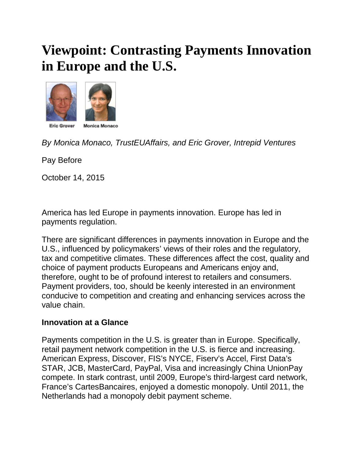# **Viewpoint: Contrasting Payments Innovation in Europe and the U.S.**



*By Monica Monaco, TrustEUAffairs, and Eric Grover, Intrepid Ventures*

Pay Before

October 14, 2015

America has led Europe in payments innovation. Europe has led in payments regulation.

There are significant differences in payments innovation in Europe and the U.S., influenced by policymakers' views of their roles and the regulatory, tax and competitive climates. These differences affect the cost, quality and choice of payment products Europeans and Americans enjoy and, therefore, ought to be of profound interest to retailers and consumers. Payment providers, too, should be keenly interested in an environment conducive to competition and creating and enhancing services across the value chain.

# **Innovation at a Glance**

Payments competition in the U.S. is greater than in Europe. Specifically, retail payment network competition in the U.S. is fierce and increasing. American Express, Discover, FIS's NYCE, Fiserv's Accel, First Data's STAR, JCB, MasterCard, PayPal, Visa and increasingly China UnionPay compete. In stark contrast, until 2009, Europe's third-largest card network, France's CartesBancaires, enjoyed a domestic monopoly. Until 2011, the Netherlands had a monopoly debit payment scheme.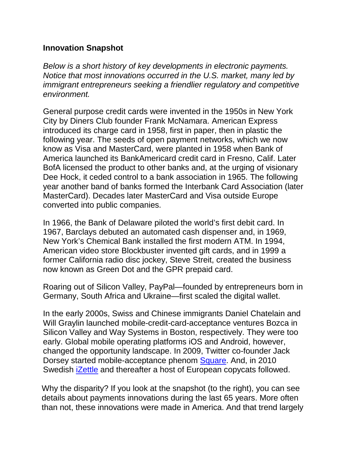#### **Innovation Snapshot**

*Below is a short history of key developments in electronic payments. Notice that most innovations occurred in the U.S. market, many led by immigrant entrepreneurs seeking a friendlier regulatory and competitive environment.* 

General purpose credit cards were invented in the 1950s in New York City by Diners Club founder Frank McNamara. American Express introduced its charge card in 1958, first in paper, then in plastic the following year. The seeds of open payment networks, which we now know as Visa and MasterCard, were planted in 1958 when Bank of America launched its BankAmericard credit card in Fresno, Calif. Later BofA licensed the product to other banks and, at the urging of visionary Dee Hock, it ceded control to a bank association in 1965. The following year another band of banks formed the Interbank Card Association (later MasterCard). Decades later MasterCard and Visa outside Europe converted into public companies.

In 1966, the Bank of Delaware piloted the world's first debit card. In 1967, Barclays debuted an automated cash dispenser and, in 1969, New York's Chemical Bank installed the first modern ATM. In 1994, American video store Blockbuster invented gift cards, and in 1999 a former California radio disc jockey, Steve Streit, created the business now known as Green Dot and the GPR prepaid card.

Roaring out of Silicon Valley, PayPal—founded by entrepreneurs born in Germany, South Africa and Ukraine—first scaled the digital wallet.

In the early 2000s, Swiss and Chinese immigrants Daniel Chatelain and Will Graylin launched mobile-credit-card-acceptance ventures Bozca in Silicon Valley and Way Systems in Boston, respectively. They were too early. Global mobile operating platforms iOS and Android, however, changed the opportunity landscape. In 2009, Twitter co-founder Jack Dorsey started mobile-acceptance phenom [Square.](http://paybefore.com/pay-news/square-secretly-files-for-ipo-july-27-2015/) And, in 2010 Swedish [iZettle](http://paybefore.com/uncategorized/on-the-wire-izettle-raises-e60-million-series-d-introduces-izettle-advance/) and thereafter a host of European copycats followed.

Why the disparity? If you look at the snapshot (to the right), you can see details about payments innovations during the last 65 years. More often than not, these innovations were made in America. And that trend largely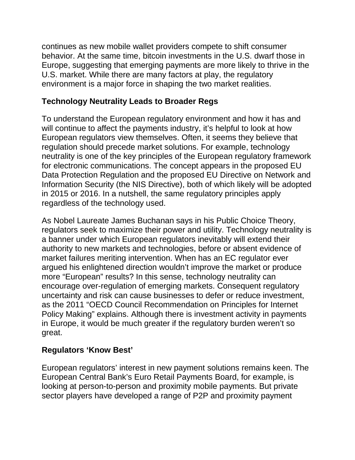continues as new mobile wallet providers compete to shift consumer behavior. At the same time, bitcoin investments in the U.S. dwarf those in Europe, suggesting that emerging payments are more likely to thrive in the U.S. market. While there are many factors at play, the regulatory environment is a major force in shaping the two market realities.

#### **Technology Neutrality Leads to Broader Regs**

To understand the European regulatory environment and how it has and will continue to affect the payments industry, it's helpful to look at how European regulators view themselves. Often, it seems they believe that regulation should precede market solutions. For example, technology neutrality is one of the key principles of the European regulatory framework for electronic communications. The concept appears in the proposed EU Data Protection Regulation and the proposed EU Directive on Network and Information Security (the NIS Directive), both of which likely will be adopted in 2015 or 2016. In a nutshell, the same regulatory principles apply regardless of the technology used.

As Nobel Laureate James Buchanan says in his Public Choice Theory, regulators seek to maximize their power and utility. Technology neutrality is a banner under which European regulators inevitably will extend their authority to new markets and technologies, before or absent evidence of market failures meriting intervention. When has an EC regulator ever argued his enlightened direction wouldn't improve the market or produce more "European" results? In this sense, technology neutrality can encourage over-regulation of emerging markets. Consequent regulatory uncertainty and risk can cause businesses to defer or reduce investment, as the 2011 "OECD Council Recommendation on Principles for Internet Policy Making" explains. Although there is investment activity in payments in Europe, it would be much greater if the regulatory burden weren't so great.

# **Regulators 'Know Best'**

European regulators' interest in new payment solutions remains keen. The European Central Bank's Euro Retail Payments Board, for example, is looking at person-to-person and proximity mobile payments. But private sector players have developed a range of P2P and proximity payment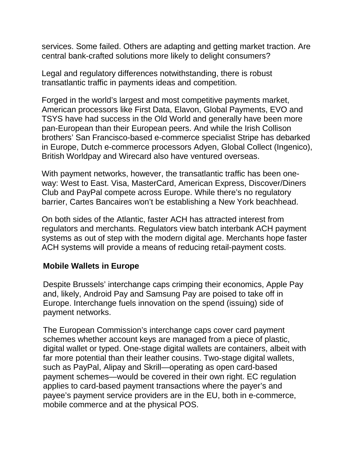services. Some failed. Others are adapting and getting market traction. Are central bank-crafted solutions more likely to delight consumers?

Legal and regulatory differences notwithstanding, there is robust transatlantic traffic in payments ideas and competition.

Forged in the world's largest and most competitive payments market, American processors like First Data, Elavon, Global Payments, EVO and TSYS have had success in the Old World and generally have been more pan-European than their European peers. And while the Irish Collison brothers' San Francisco-based e-commerce specialist Stripe has debarked in Europe, Dutch e-commerce processors Adyen, Global Collect (Ingenico), British Worldpay and Wirecard also have ventured overseas.

With payment networks, however, the transatlantic traffic has been oneway: West to East. Visa, MasterCard, American Express, Discover/Diners Club and PayPal compete across Europe. While there's no regulatory barrier, Cartes Bancaires won't be establishing a New York beachhead.

On both sides of the Atlantic, faster ACH has attracted interest from regulators and merchants. Regulators view batch interbank ACH payment systems as out of step with the modern digital age. Merchants hope faster ACH systems will provide a means of reducing retail-payment costs.

# **Mobile Wallets in Europe**

Despite Brussels' interchange caps crimping their economics, Apple Pay and, likely, Android Pay and Samsung Pay are poised to take off in Europe. Interchange fuels innovation on the spend (issuing) side of payment networks.

The European Commission's interchange caps cover card payment schemes whether account keys are managed from a piece of plastic, digital wallet or typed. One-stage digital wallets are containers, albeit with far more potential than their leather cousins. Two-stage digital wallets, such as PayPal, Alipay and Skrill—operating as open card-based payment schemes—would be covered in their own right. EC regulation applies to card-based payment transactions where the payer's and payee's payment service providers are in the EU, both in e-commerce, mobile commerce and at the physical POS.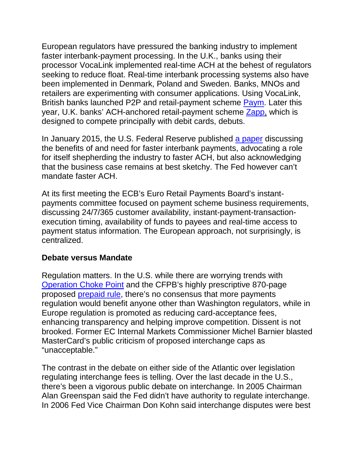European regulators have pressured the banking industry to implement faster interbank-payment processing. In the U.K., banks using their processor VocaLink implemented real-time ACH at the behest of regulators seeking to reduce float. Real-time interbank processing systems also have been implemented in Denmark, Poland and Sweden. Banks, MNOs and retailers are experimenting with consumer applications. Using VocaLink, British banks launched P2P and retail-payment scheme [Paym.](http://paybefore.com/pay-world/u-k-banks-debut-p2p-payments-service-may-5-2014/) Later this year, U.K. banks' ACH-anchored retail-payment scheme [Zapp,](http://paybefore.com/pay-world/five-u-k-banks-to-offer-zapps-mobile-payments-service-jan-15-2014/) which is designed to compete principally with debit cards, debuts.

In January 2015, the U.S. Federal Reserve published [a paper](http://paybefore.com/pay-gov/fed-issues-paper-announcing-plan-to-improve-u-s-payment-system-jan-27-2015/) discussing the benefits of and need for faster interbank payments, advocating a role for itself shepherding the industry to faster ACH, but also acknowledging that the business case remains at best sketchy. The Fed however can't mandate faster ACH.

At its first meeting the ECB's Euro Retail Payments Board's instantpayments committee focused on payment scheme business requirements, discussing 24/7/365 customer availability, instant-payment-transactionexecution timing, availability of funds to payees and real-time access to payment status information. The European approach, not surprisingly, is centralized.

#### **Debate versus Mandate**

Regulation matters. In the U.S. while there are worrying trends with [Operation Choke Point](http://paybefore.com/pay-gov/operation-choke-point-report/) and the CFPB's highly prescriptive 870-page proposed [prepaid rule,](http://paybefore.com/pay-gov/cfpb-final-prepaid-rule-coming-in-january-16-may-26-2015/) there's no consensus that more payments regulation would benefit anyone other than Washington regulators, while in Europe regulation is promoted as reducing card-acceptance fees, enhancing transparency and helping improve competition. Dissent is not brooked. Former EC Internal Markets Commissioner Michel Barnier blasted MasterCard's public criticism of proposed interchange caps as "unacceptable."

The contrast in the debate on either side of the Atlantic over legislation regulating interchange fees is telling. Over the last decade in the U.S., there's been a vigorous public debate on interchange. In 2005 Chairman Alan Greenspan said the Fed didn't have authority to regulate interchange. In 2006 Fed Vice Chairman Don Kohn said interchange disputes were best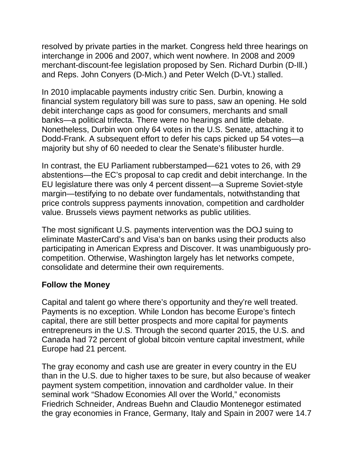resolved by private parties in the market. Congress held three hearings on interchange in 2006 and 2007, which went nowhere. In 2008 and 2009 merchant-discount-fee legislation proposed by Sen. Richard Durbin (D-Ill.) and Reps. John Conyers (D-Mich.) and Peter Welch (D-Vt.) stalled.

In 2010 implacable payments industry critic Sen. Durbin, knowing a financial system regulatory bill was sure to pass, saw an opening. He sold debit interchange caps as good for consumers, merchants and small banks—a political trifecta. There were no hearings and little debate. Nonetheless, Durbin won only 64 votes in the U.S. Senate, attaching it to Dodd-Frank. A subsequent effort to defer his caps picked up 54 votes—a majority but shy of 60 needed to clear the Senate's filibuster hurdle.

In contrast, the EU Parliament rubberstamped—621 votes to 26, with 29 abstentions—the EC's proposal to cap credit and debit interchange. In the EU legislature there was only 4 percent dissent—a Supreme Soviet-style margin—testifying to no debate over fundamentals, notwithstanding that price controls suppress payments innovation, competition and cardholder value. Brussels views payment networks as public utilities.

The most significant U.S. payments intervention was the DOJ suing to eliminate MasterCard's and Visa's ban on banks using their products also participating in American Express and Discover. It was unambiguously procompetition. Otherwise, Washington largely has let networks compete, consolidate and determine their own requirements.

# **Follow the Money**

Capital and talent go where there's opportunity and they're well treated. Payments is no exception. While London has become Europe's fintech capital, there are still better prospects and more capital for payments entrepreneurs in the U.S. Through the second quarter 2015, the U.S. and Canada had 72 percent of global bitcoin venture capital investment, while Europe had 21 percent.

The gray economy and cash use are greater in every country in the EU than in the U.S. due to higher taxes to be sure, but also because of weaker payment system competition, innovation and cardholder value. In their seminal work "Shadow Economies All over the World," economists Friedrich Schneider, Andreas Buehn and Claudio Montenegor estimated the gray economies in France, Germany, Italy and Spain in 2007 were 14.7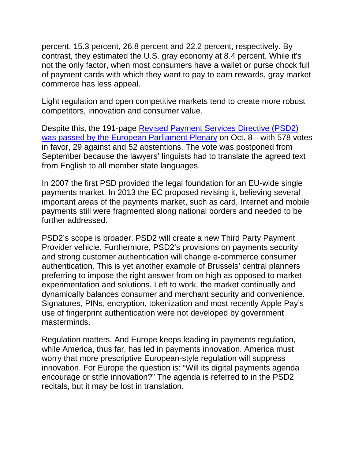percent, 15.3 percent, 26.8 percent and 22.2 percent, respectively. By contrast, they estimated the U.S. gray economy at 8.4 percent. While it's not the only factor, when most consumers have a wallet or purse chock full of payment cards with which they want to pay to earn rewards, gray market commerce has less appeal.

Light regulation and open competitive markets tend to create more robust competitors, innovation and consumer value.

Despite this, the 191-page [Revised Payment Services Directive \(PSD2\)](http://paybefore.com/pay-gov/european-parliament-passes-psd2-by-landslide-oct-8-2015/)  [was passed by the European Parliament Plenary](http://paybefore.com/pay-gov/european-parliament-passes-psd2-by-landslide-oct-8-2015/) on Oct. 8—with 578 votes in favor, 29 against and 52 abstentions. The vote was postponed from September because the lawyers' linguists had to translate the agreed text from English to all member state languages.

In 2007 the first PSD provided the legal foundation for an EU-wide single payments market. In 2013 the EC proposed revising it, believing several important areas of the payments market, such as card, Internet and mobile payments still were fragmented along national borders and needed to be further addressed.

PSD2's scope is broader. PSD2 will create a new Third Party Payment Provider vehicle. Furthermore, PSD2's provisions on payments security and strong customer authentication will change e-commerce consumer authentication. This is yet another example of Brussels' central planners preferring to impose the right answer from on high as opposed to market experimentation and solutions. Left to work, the market continually and dynamically balances consumer and merchant security and convenience. Signatures, PINs, encryption, tokenization and most recently Apple Pay's use of fingerprint authentication were not developed by government masterminds.

Regulation matters. And Europe keeps leading in payments regulation, while America, thus far, has led in payments innovation. America must worry that more prescriptive European-style regulation will suppress innovation. For Europe the question is: "Will its digital payments agenda encourage or stifle innovation?" The agenda is referred to in the PSD2 recitals, but it may be lost in translation.